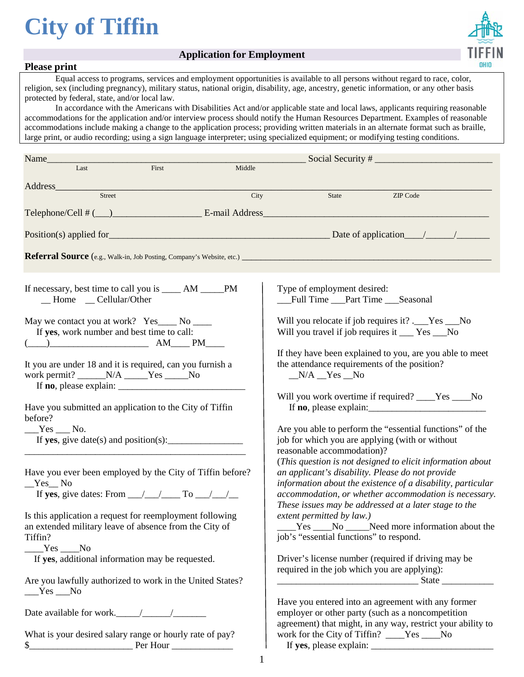# **City of Tiffin**





### **Please print**

Equal access to programs, services and employment opportunities is available to all persons without regard to race, color, religion, sex (including pregnancy), military status, national origin, disability, age, ancestry, genetic information, or any other basis protected by federal, state, and/or local law.

In accordance with the Americans with Disabilities Act and/or applicable state and local laws, applicants requiring reasonable accommodations for the application and/or interview process should notify the Human Resources Department. Examples of reasonable accommodations include making a change to the application process; providing written materials in an alternate format such as braille, large print, or audio recording; using a sign language interpreter; using specialized equipment; or modifying testing conditions.

| Name_                                                                                                                                                                                                                                                                                                                                                                                                                                            |        |                                                                                                                                                                                                                                                                                                 |  |  |  |  |
|--------------------------------------------------------------------------------------------------------------------------------------------------------------------------------------------------------------------------------------------------------------------------------------------------------------------------------------------------------------------------------------------------------------------------------------------------|--------|-------------------------------------------------------------------------------------------------------------------------------------------------------------------------------------------------------------------------------------------------------------------------------------------------|--|--|--|--|
| Last<br>First                                                                                                                                                                                                                                                                                                                                                                                                                                    | Middle |                                                                                                                                                                                                                                                                                                 |  |  |  |  |
| Address_                                                                                                                                                                                                                                                                                                                                                                                                                                         |        |                                                                                                                                                                                                                                                                                                 |  |  |  |  |
| Street                                                                                                                                                                                                                                                                                                                                                                                                                                           | City   | ZIP Code<br>State                                                                                                                                                                                                                                                                               |  |  |  |  |
|                                                                                                                                                                                                                                                                                                                                                                                                                                                  |        |                                                                                                                                                                                                                                                                                                 |  |  |  |  |
|                                                                                                                                                                                                                                                                                                                                                                                                                                                  |        |                                                                                                                                                                                                                                                                                                 |  |  |  |  |
|                                                                                                                                                                                                                                                                                                                                                                                                                                                  |        |                                                                                                                                                                                                                                                                                                 |  |  |  |  |
|                                                                                                                                                                                                                                                                                                                                                                                                                                                  |        |                                                                                                                                                                                                                                                                                                 |  |  |  |  |
| If necessary, best time to call you is ______ AM ______ PM<br>_Home _ Cellular/Other                                                                                                                                                                                                                                                                                                                                                             |        | Type of employment desired:<br>__Full Time __Part Time __Seasonal                                                                                                                                                                                                                               |  |  |  |  |
| May we contact you at work? Yes____ No ____<br>If yes, work number and best time to call:<br>$\begin{picture}(150,10) \put(0,0){\line(1,0){10}} \put(15,0){\line(1,0){10}} \put(15,0){\line(1,0){10}} \put(15,0){\line(1,0){10}} \put(15,0){\line(1,0){10}} \put(15,0){\line(1,0){10}} \put(15,0){\line(1,0){10}} \put(15,0){\line(1,0){10}} \put(15,0){\line(1,0){10}} \put(15,0){\line(1,0){10}} \put(15,0){\line(1,0){10}} \put(15,0){\line($ |        | Will you relocate if job requires it? .__Yes __No<br>Will you travel if job requires it ___ Yes __No                                                                                                                                                                                            |  |  |  |  |
| It you are under 18 and it is required, can you furnish a<br>work permit? ______N/A _____Yes _____No<br>If <b>no</b> , please explain: $\frac{1}{2}$                                                                                                                                                                                                                                                                                             |        | If they have been explained to you, are you able to meet<br>the attendance requirements of the position?<br>$N/A$ $Yes$ $No$                                                                                                                                                                    |  |  |  |  |
| Have you submitted an application to the City of Tiffin<br>before?                                                                                                                                                                                                                                                                                                                                                                               |        | Will you work overtime if required? ____Yes ____No<br>If <b>no</b> , please explain:                                                                                                                                                                                                            |  |  |  |  |
| $Yes$ No.<br>If yes, give date(s) and position(s): $\frac{1}{\sqrt{2\pi}}$                                                                                                                                                                                                                                                                                                                                                                       |        | Are you able to perform the "essential functions" of the<br>job for which you are applying (with or without<br>reasonable accommodation)?                                                                                                                                                       |  |  |  |  |
| Have you ever been employed by the City of Tiffin before?<br>$Yes$ <sub>No</sub><br>If yes, give dates: From $\_\_\_\_\_\_\_\_\_\$ To $\_\_\_\_\_\_\_\_\_\_\_\_\_\$                                                                                                                                                                                                                                                                              |        | (This question is not designed to elicit information about<br>an applicant's disability. Please do not provide<br>information about the existence of a disability, particular<br>accommodation, or whether accommodation is necessary.<br>These issues may be addressed at a later stage to the |  |  |  |  |
| Is this application a request for reemployment following<br>an extended military leave of absence from the City of<br>Tiffin?<br>$Yes$ No                                                                                                                                                                                                                                                                                                        |        | extent permitted by law.)<br>____Yes ____No _____Need more information about the<br>job's "essential functions" to respond.                                                                                                                                                                     |  |  |  |  |
| If yes, additional information may be requested.                                                                                                                                                                                                                                                                                                                                                                                                 |        | Driver's license number (required if driving may be<br>required in the job which you are applying):                                                                                                                                                                                             |  |  |  |  |
| Are you lawfully authorized to work in the United States?<br>$Yes$ No                                                                                                                                                                                                                                                                                                                                                                            |        |                                                                                                                                                                                                                                                                                                 |  |  |  |  |
|                                                                                                                                                                                                                                                                                                                                                                                                                                                  |        | Have you entered into an agreement with any former<br>employer or other party (such as a noncompetition<br>agreement) that might, in any way, restrict your ability to                                                                                                                          |  |  |  |  |
| What is your desired salary range or hourly rate of pay?<br>\$<br><b>Per Hour</b>                                                                                                                                                                                                                                                                                                                                                                |        | work for the City of Tiffin? ____Yes ___No                                                                                                                                                                                                                                                      |  |  |  |  |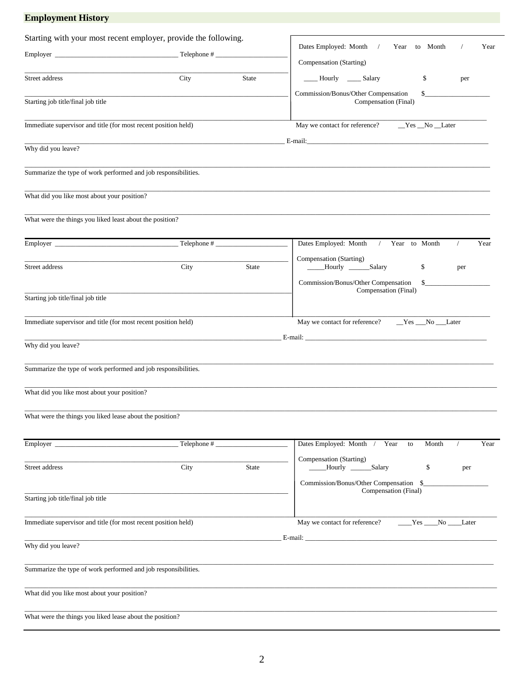| <b>Employment History</b>                                       |             |              |                                                                     |  |  |  |
|-----------------------------------------------------------------|-------------|--------------|---------------------------------------------------------------------|--|--|--|
| Starting with your most recent employer, provide the following. |             |              | Year                                                                |  |  |  |
|                                                                 |             |              | Dates Employed: Month /<br>Year to Month<br>Compensation (Starting) |  |  |  |
| Street address                                                  | City        | State        | ____ Hourly _____ Salary<br>\$<br>per                               |  |  |  |
|                                                                 |             |              | Commission/Bonus/Other Compensation<br>\$                           |  |  |  |
| Starting job title/final job title                              |             |              | Compensation (Final)                                                |  |  |  |
| Immediate supervisor and title (for most recent position held)  |             |              | May we contact for reference?<br>_Yes _No _Later                    |  |  |  |
| Why did you leave?                                              |             |              |                                                                     |  |  |  |
|                                                                 |             |              |                                                                     |  |  |  |
| Summarize the type of work performed and job responsibilities.  |             |              |                                                                     |  |  |  |
| What did you like most about your position?                     |             |              |                                                                     |  |  |  |
| What were the things you liked least about the position?        |             |              |                                                                     |  |  |  |
|                                                                 |             |              | Dates Employed: Month / Year to Month<br>Year<br>$\sqrt{2}$         |  |  |  |
| Street address                                                  | City        | <b>State</b> | Compensation (Starting)<br>____Hourly ______Salary<br>\$<br>per     |  |  |  |
|                                                                 |             |              | Commission/Bonus/Other Compensation<br>$\sim$                       |  |  |  |
| Starting job title/final job title                              |             |              | Compensation (Final)                                                |  |  |  |
| Immediate supervisor and title (for most recent position held)  |             |              | May we contact for reference?<br>$Yes$ $No$ $Later$                 |  |  |  |
|                                                                 |             |              |                                                                     |  |  |  |
| Why did you leave?                                              |             |              |                                                                     |  |  |  |
| Summarize the type of work performed and job responsibilities.  |             |              |                                                                     |  |  |  |
| What did you like most about your position?                     |             |              |                                                                     |  |  |  |
| What were the things you liked lease about the position?        |             |              |                                                                     |  |  |  |
|                                                                 | Telephone # |              | Dates Employed: Month / Year<br>Month<br>Year<br>to                 |  |  |  |
|                                                                 |             |              | Compensation (Starting)                                             |  |  |  |
| Street address                                                  | City        | <b>State</b> | Hourly _______Salary<br>\$<br>per                                   |  |  |  |
| Starting job title/final job title                              |             |              | Commission/Bonus/Other Compensation \$_<br>Compensation (Final)     |  |  |  |
|                                                                 |             |              |                                                                     |  |  |  |
| Immediate supervisor and title (for most recent position held)  |             |              | May we contact for reference?<br>Yes<br>No<br><b>Later</b>          |  |  |  |
| Why did you leave?                                              |             |              |                                                                     |  |  |  |
| Summarize the type of work performed and job responsibilities.  |             |              |                                                                     |  |  |  |
| What did you like most about your position?                     |             |              |                                                                     |  |  |  |
| What were the things you liked lease about the position?        |             |              |                                                                     |  |  |  |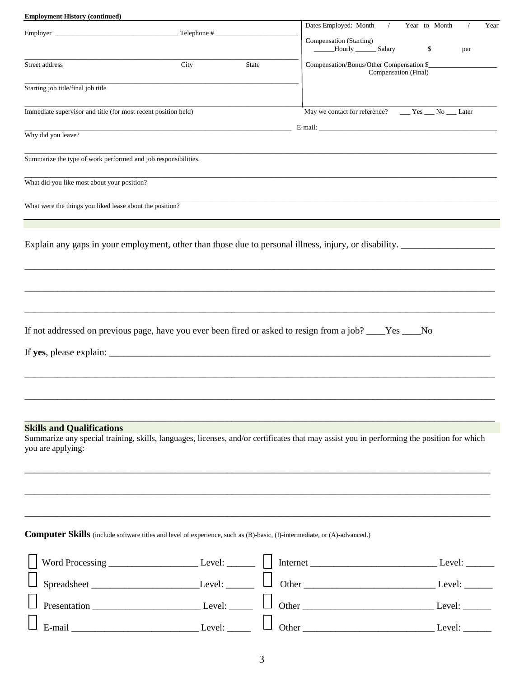| <b>Employment History (continued)</b>                                                                                                                          |                                                                                                                      |              |                                                                   |               |      |
|----------------------------------------------------------------------------------------------------------------------------------------------------------------|----------------------------------------------------------------------------------------------------------------------|--------------|-------------------------------------------------------------------|---------------|------|
|                                                                                                                                                                |                                                                                                                      |              | Dates Employed: Month<br>$\frac{1}{2}$                            | Year to Month | Year |
|                                                                                                                                                                |                                                                                                                      |              | Compensation (Starting)<br>_____Hourly _________ Salary           | \$            | per  |
| Street address                                                                                                                                                 | City                                                                                                                 | <b>State</b> | Compensation/Bonus/Other Compensation \$_<br>Compensation (Final) |               |      |
| Starting job title/final job title                                                                                                                             |                                                                                                                      |              |                                                                   |               |      |
| Immediate supervisor and title (for most recent position held)                                                                                                 |                                                                                                                      |              | May we contact for reference? _______ Yes _____ No _____ Later    |               |      |
| Why did you leave?                                                                                                                                             | <u> 1989 - Johann John Stone, markin film yn y brening yn y brening yn y brening yn y brening y brening yn y bre</u> |              |                                                                   |               |      |
| Summarize the type of work performed and job responsibilities.                                                                                                 |                                                                                                                      |              |                                                                   |               |      |
| What did you like most about your position?                                                                                                                    |                                                                                                                      |              |                                                                   |               |      |
| What were the things you liked lease about the position?                                                                                                       |                                                                                                                      |              |                                                                   |               |      |
|                                                                                                                                                                |                                                                                                                      |              |                                                                   |               |      |
| Explain any gaps in your employment, other than those due to personal illness, injury, or disability.                                                          |                                                                                                                      |              |                                                                   |               |      |
|                                                                                                                                                                |                                                                                                                      |              |                                                                   |               |      |
|                                                                                                                                                                |                                                                                                                      |              |                                                                   |               |      |
|                                                                                                                                                                |                                                                                                                      |              |                                                                   |               |      |
| If not addressed on previous page, have you ever been fired or asked to resign from a job? ____Yes ____No                                                      |                                                                                                                      |              |                                                                   |               |      |
|                                                                                                                                                                |                                                                                                                      |              |                                                                   |               |      |
|                                                                                                                                                                |                                                                                                                      |              |                                                                   |               |      |
|                                                                                                                                                                |                                                                                                                      |              |                                                                   |               |      |
| <b>Skills and Qualifications</b>                                                                                                                               |                                                                                                                      |              |                                                                   |               |      |
| Summarize any special training, skills, languages, licenses, and/or certificates that may assist you in performing the position for which<br>you are applying: |                                                                                                                      |              |                                                                   |               |      |
|                                                                                                                                                                |                                                                                                                      |              |                                                                   |               |      |
|                                                                                                                                                                |                                                                                                                      |              |                                                                   |               |      |
|                                                                                                                                                                |                                                                                                                      |              |                                                                   |               |      |
| <b>Computer Skills</b> (include software titles and level of experience, such as (B)-basic, (I)-intermediate, or (A)-advanced.)                                |                                                                                                                      |              |                                                                   |               |      |
|                                                                                                                                                                |                                                                                                                      |              |                                                                   |               |      |
|                                                                                                                                                                |                                                                                                                      |              |                                                                   |               |      |
|                                                                                                                                                                |                                                                                                                      |              |                                                                   |               |      |
|                                                                                                                                                                |                                                                                                                      |              |                                                                   |               |      |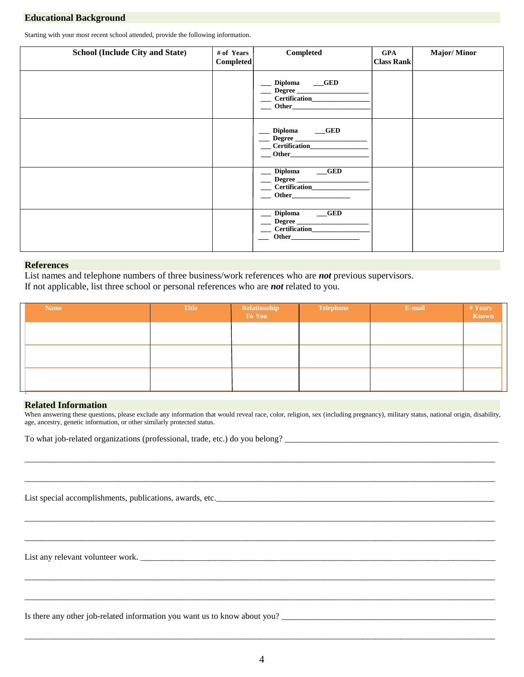#### **Educational Background**

Starting with your most recent school attended, provide the following information.

| <b>School (Include City and State)</b> | # of Years<br><b>Completed</b> | <b>Completed</b>                                                                                                                                                                                                                                          | <b>GPA</b><br><b>Class Rank</b> | <b>Major/Minor</b> |
|----------------------------------------|--------------------------------|-----------------------------------------------------------------------------------------------------------------------------------------------------------------------------------------------------------------------------------------------------------|---------------------------------|--------------------|
|                                        |                                | Diploma __GED<br>Degree                                                                                                                                                                                                                                   |                                 |                    |
|                                        |                                | Diploma __GED<br>$-$ Other                                                                                                                                                                                                                                |                                 |                    |
|                                        |                                | __ Diploma ___GED<br>$\blacksquare$ Other                                                                                                                                                                                                                 |                                 |                    |
|                                        |                                | Diploma __GED<br>Degree<br>Other has been a series of the series of the series of the series of the series of the series of the series of the series of the series of the series of the series of the series of the series of the series of the series of |                                 |                    |

#### **References**

List names and telephone numbers of three business/work references who are *not* previous supervisors. If not applicable, list three school or personal references who are *not* related to you.

| <b>Name</b> | <b>Title</b> | Relationship<br>To You | <b>Telephone</b> | E-mail | # Years<br>Known |
|-------------|--------------|------------------------|------------------|--------|------------------|
|             |              |                        |                  |        |                  |
|             |              |                        |                  |        |                  |
|             |              |                        |                  |        |                  |
| $\sim$      |              |                        |                  |        |                  |

#### **Related Information**

When answering these questions, please exclude any information that would reveal race, color, religion, sex (including pregnancy), military status, national origin, disability, age, ancestry, genetic information, or other similarly protected status.

\_\_\_\_\_\_\_\_\_\_\_\_\_\_\_\_\_\_\_\_\_\_\_\_\_\_\_\_\_\_\_\_\_\_\_\_\_\_\_\_\_\_\_\_\_\_\_\_\_\_\_\_\_\_\_\_\_\_\_\_\_\_\_\_\_\_\_\_\_\_\_\_\_\_\_\_\_\_\_\_\_\_\_\_\_\_\_\_\_\_\_\_\_\_\_\_\_\_\_\_\_\_\_\_\_\_\_\_\_\_

\_\_\_\_\_\_\_\_\_\_\_\_\_\_\_\_\_\_\_\_\_\_\_\_\_\_\_\_\_\_\_\_\_\_\_\_\_\_\_\_\_\_\_\_\_\_\_\_\_\_\_\_\_\_\_\_\_\_\_\_\_\_\_\_\_\_\_\_\_\_\_\_\_\_\_\_\_\_\_\_\_\_\_\_\_\_\_\_\_\_\_\_\_\_\_\_\_\_\_\_\_\_\_\_\_\_\_\_\_\_

\_\_\_\_\_\_\_\_\_\_\_\_\_\_\_\_\_\_\_\_\_\_\_\_\_\_\_\_\_\_\_\_\_\_\_\_\_\_\_\_\_\_\_\_\_\_\_\_\_\_\_\_\_\_\_\_\_\_\_\_\_\_\_\_\_\_\_\_\_\_\_\_\_\_\_\_\_\_\_\_\_\_\_\_\_\_\_\_\_\_\_\_\_\_\_\_\_\_\_\_\_\_\_\_\_\_\_\_\_\_

\_\_\_\_\_\_\_\_\_\_\_\_\_\_\_\_\_\_\_\_\_\_\_\_\_\_\_\_\_\_\_\_\_\_\_\_\_\_\_\_\_\_\_\_\_\_\_\_\_\_\_\_\_\_\_\_\_\_\_\_\_\_\_\_\_\_\_\_\_\_\_\_\_\_\_\_\_\_\_\_\_\_\_\_\_\_\_\_\_\_\_\_\_\_\_\_\_\_\_\_\_\_\_\_\_\_\_\_\_\_

\_\_\_\_\_\_\_\_\_\_\_\_\_\_\_\_\_\_\_\_\_\_\_\_\_\_\_\_\_\_\_\_\_\_\_\_\_\_\_\_\_\_\_\_\_\_\_\_\_\_\_\_\_\_\_\_\_\_\_\_\_\_\_\_\_\_\_\_\_\_\_\_\_\_\_\_\_\_\_\_\_\_\_\_\_\_\_\_\_\_\_\_\_\_\_\_\_\_\_\_\_\_\_\_\_\_\_\_\_\_

\_\_\_\_\_\_\_\_\_\_\_\_\_\_\_\_\_\_\_\_\_\_\_\_\_\_\_\_\_\_\_\_\_\_\_\_\_\_\_\_\_\_\_\_\_\_\_\_\_\_\_\_\_\_\_\_\_\_\_\_\_\_\_\_\_\_\_\_\_\_\_\_\_\_\_\_\_\_\_\_\_\_\_\_\_\_\_\_\_\_\_\_\_\_\_\_\_\_\_\_\_\_\_\_\_\_\_\_\_\_

To what job-related organizations (professional, trade, etc.) do you belong? \_\_\_\_\_\_\_\_\_\_\_\_\_\_\_\_\_\_\_\_\_\_\_\_\_\_\_\_\_\_\_\_\_\_\_\_\_\_\_\_\_\_\_\_\_\_\_\_\_\_

List special accomplishments, publications, awards, etc.\_\_\_\_\_\_\_\_\_\_\_\_\_\_\_\_\_\_\_\_\_\_\_\_\_\_\_\_\_\_\_\_\_\_\_\_\_\_\_\_\_\_\_\_\_\_\_\_\_\_\_\_\_\_\_\_\_\_\_\_\_\_\_\_\_

List any relevant volunteer work. \_\_\_\_\_\_\_\_\_\_\_\_\_\_\_\_\_\_\_\_\_\_\_\_\_\_\_\_\_\_\_\_\_\_\_\_\_\_\_\_\_\_\_\_\_\_\_\_\_\_\_\_\_\_\_\_\_\_\_\_\_\_\_\_\_\_\_\_\_\_\_\_\_\_\_\_\_\_\_\_\_\_\_

Is there any other job-related information you want us to know about you?

\_\_\_\_\_\_\_\_\_\_\_\_\_\_\_\_\_\_\_\_\_\_\_\_\_\_\_\_\_\_\_\_\_\_\_\_\_\_\_\_\_\_\_\_\_\_\_\_\_\_\_\_\_\_\_\_\_\_\_\_\_\_\_\_\_\_\_\_\_\_\_\_\_\_\_\_\_\_\_\_\_\_\_\_\_\_\_\_\_\_\_\_\_\_\_\_\_\_\_\_\_\_\_\_\_\_\_\_\_\_